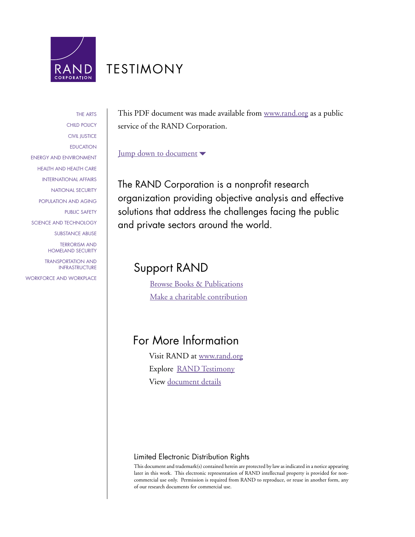

# [TESTIMONY](http://www.rand.org/pdfrd/congress/testimony.html)

[THE ARTS](http://www.rand.org/pdfrd/research_areas/arts/) [CHILD POLICY](http://www.rand.org/pdfrd/research_areas/children/) [CIVIL JUSTICE](http://www.rand.org/pdfrd/research_areas/civil_justice/) **[EDUCATION](http://www.rand.org/pdfrd/research_areas/education/)** [ENERGY AND ENVIRONMENT](http://www.rand.org/pdfrd/research_areas/energy_environment/) [HEALTH AND HEALTH CARE](http://www.rand.org/pdfrd/research_areas/health/) [INTERNATIONAL AFFAIRS](http://www.rand.org/pdfrd/research_areas/international_affairs/) [NATIONAL SECURITY](http://www.rand.org/pdfrd/research_areas/national_security/) [POPULATION AND AGING](http://www.rand.org/pdfrd/research_areas/population/) [PUBLIC SAFETY](http://www.rand.org/pdfrd/research_areas/public_safety/) [SCIENCE AND TECHNOLOGY](http://www.rand.org/pdfrd/research_areas/science_technology/) [SUBSTANCE ABUSE](http://www.rand.org/pdfrd/research_areas/substance_abuse/) [TERRORISM AND](http://www.rand.org/pdfrd/research_areas/terrorism/)  [HOMELAND SECURITY](http://www.rand.org/pdfrd/research_areas/terrorism/) [TRANSPORTATION AND](http://www.rand.org/pdfrd/research_areas/infrastructure/) [INFRASTRUCTURE](http://www.rand.org/pdfrd/research_areas/infrastructure/) [WORKFORCE AND](http://www.rand.org/pdfrd/research_areas/workforce/) WORKPLACE This PDF document was made available from [www.rand.org](http://www.rand.org/pdfrd/) as a public service of the RAND Corporation.

# [Jump down to document](#page-1-0)

The RAND Corporation is a nonprofit research organization providing objective analysis and effective solutions that address the challenges facing the public and private sectors around the world.

# Support RAND

[Browse Books & Publications](http://www.rand.org/pdfrd/publications/electronic/) [Make a charitable contribution](http://www.rand.org/pdfrd/giving/contribute.html)

# For More Information

Visit RAND at [www.rand.org](http://www.rand.org/pdfrd/) Explore [RAND Testimony](http://www.rand.org/pdfrd/congress/testimony.html) View [document details](http://www.rand.org/pdfrd/pubs/testimonies/CT259/)

# Limited Electronic Distribution Rights

This document and trademark(s) contained herein are protected by law as indicated in a notice appearing later in this work. This electronic representation of RAND intellectual property is provided for noncommercial use only. Permission is required from RAND to reproduce, or reuse in another form, any of our research documents for commercial use.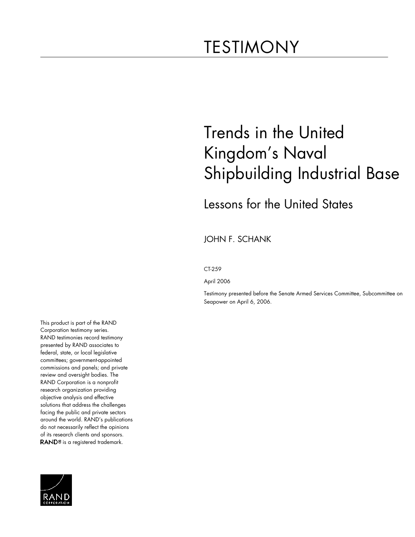# <span id="page-1-0"></span>TESTIMONY

# Trends in the United Kingdom's Naval Shipbuilding Industrial Base

# Lessons for the United States

JOHN F. SCHANK

## CT-259

April 2006

Testimony presented before the Senate Armed Services Committee, Subcommittee on Seapower on April 6, 2006.

This product is part of the RAND Corporation testimony series. RAND testimonies record testimony presented by RAND associates to federal, state, or local legislative committees; government-appointed commissions and panels; and private review and oversight bodies. The RAND Corporation is a nonprofit research organization providing objective analysis and effective solutions that address the challenges facing the public and private sectors around the world. RAND's publications do not necessarily reflect the opinions of its research clients and sponsors. RAND<sup>®</sup> is a registered trademark.

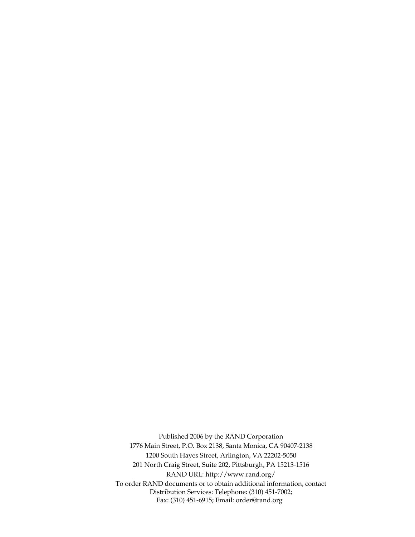Published 2006 by the RAND Corporation 1776 Main Street, P.O. Box 2138, Santa Monica, CA 90407-2138 1200 South Hayes Street, Arlington, VA 22202-5050 201 North Craig Street, Suite 202, Pittsburgh, PA 15213-1516 RAND URL: http://www.rand.org/ To order RAND documents or to obtain additional information, contact Distribution Services: Telephone: (310) 451-7002; Fax: (310) 451-6915; Email: order@rand.org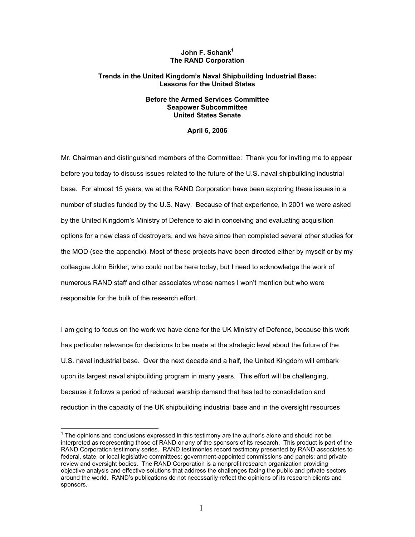# John F. Schank<sup>1</sup> **The RAND Corporation**

# **Trends in the United Kingdom's Naval Shipbuilding Industrial Base: Lessons for the United States**

# **Before the Armed Services Committee Seapower Subcommittee United States Senate**

# **April 6, 2006**

Mr. Chairman and distinguished members of the Committee: Thank you for inviting me to appear before you today to discuss issues related to the future of the U.S. naval shipbuilding industrial base. For almost 15 years, we at the RAND Corporation have been exploring these issues in a number of studies funded by the U.S. Navy. Because of that experience, in 2001 we were asked by the United Kingdom's Ministry of Defence to aid in conceiving and evaluating acquisition options for a new class of destroyers, and we have since then completed several other studies for the MOD (see the appendix). Most of these projects have been directed either by myself or by my colleague John Birkler, who could not be here today, but I need to acknowledge the work of numerous RAND staff and other associates whose names I won't mention but who were responsible for the bulk of the research effort.

I am going to focus on the work we have done for the UK Ministry of Defence, because this work has particular relevance for decisions to be made at the strategic level about the future of the U.S. naval industrial base. Over the next decade and a half, the United Kingdom will embark upon its largest naval shipbuilding program in many years. This effort will be challenging, because it follows a period of reduced warship demand that has led to consolidation and reduction in the capacity of the UK shipbuilding industrial base and in the oversight resources

 $1$  The opinions and conclusions expressed in this testimony are the author's alone and should not be interpreted as representing those of RAND or any of the sponsors of its research. This product is part of the RAND Corporation testimony series. RAND testimonies record testimony presented by RAND associates to federal, state, or local legislative committees; government-appointed commissions and panels; and private review and oversight bodies. The RAND Corporation is a nonprofit research organization providing objective analysis and effective solutions that address the challenges facing the public and private sectors around the world. RAND's publications do not necessarily reflect the opinions of its research clients and sponsors.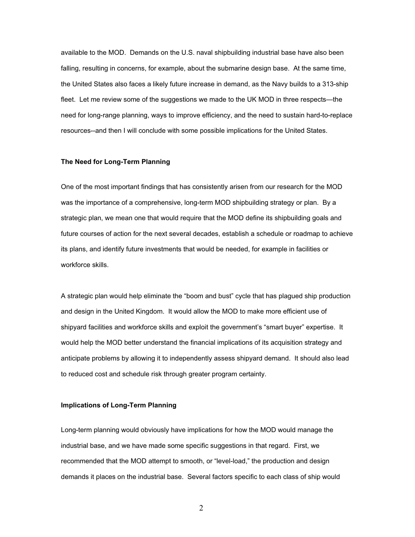available to the MOD. Demands on the U.S. naval shipbuilding industrial base have also been falling, resulting in concerns, for example, about the submarine design base. At the same time, the United States also faces a likely future increase in demand, as the Navy builds to a 313-ship fleet. Let me review some of the suggestions we made to the UK MOD in three respects—the need for long-range planning, ways to improve efficiency, and the need to sustain hard-to-replace resources--and then I will conclude with some possible implications for the United States.

## **The Need for Long-Term Planning**

One of the most important findings that has consistently arisen from our research for the MOD was the importance of a comprehensive, long-term MOD shipbuilding strategy or plan. By a strategic plan, we mean one that would require that the MOD define its shipbuilding goals and future courses of action for the next several decades, establish a schedule or roadmap to achieve its plans, and identify future investments that would be needed, for example in facilities or workforce skills.

A strategic plan would help eliminate the "boom and bust" cycle that has plagued ship production and design in the United Kingdom. It would allow the MOD to make more efficient use of shipyard facilities and workforce skills and exploit the government's "smart buyer" expertise. It would help the MOD better understand the financial implications of its acquisition strategy and anticipate problems by allowing it to independently assess shipyard demand. It should also lead to reduced cost and schedule risk through greater program certainty.

## **Implications of Long-Term Planning**

Long-term planning would obviously have implications for how the MOD would manage the industrial base, and we have made some specific suggestions in that regard. First, we recommended that the MOD attempt to smooth, or "level-load," the production and design demands it places on the industrial base. Several factors specific to each class of ship would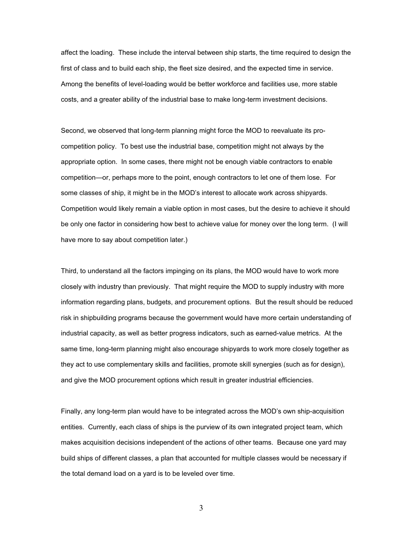affect the loading. These include the interval between ship starts, the time required to design the first of class and to build each ship, the fleet size desired, and the expected time in service. Among the benefits of level-loading would be better workforce and facilities use, more stable costs, and a greater ability of the industrial base to make long-term investment decisions.

Second, we observed that long-term planning might force the MOD to reevaluate its procompetition policy. To best use the industrial base, competition might not always by the appropriate option. In some cases, there might not be enough viable contractors to enable competition—or, perhaps more to the point, enough contractors to let one of them lose. For some classes of ship, it might be in the MOD's interest to allocate work across shipyards. Competition would likely remain a viable option in most cases, but the desire to achieve it should be only one factor in considering how best to achieve value for money over the long term. (I will have more to say about competition later.)

Third, to understand all the factors impinging on its plans, the MOD would have to work more closely with industry than previously. That might require the MOD to supply industry with more information regarding plans, budgets, and procurement options. But the result should be reduced risk in shipbuilding programs because the government would have more certain understanding of industrial capacity, as well as better progress indicators, such as earned-value metrics. At the same time, long-term planning might also encourage shipyards to work more closely together as they act to use complementary skills and facilities, promote skill synergies (such as for design), and give the MOD procurement options which result in greater industrial efficiencies.

Finally, any long-term plan would have to be integrated across the MOD's own ship-acquisition entities. Currently, each class of ships is the purview of its own integrated project team, which makes acquisition decisions independent of the actions of other teams. Because one yard may build ships of different classes, a plan that accounted for multiple classes would be necessary if the total demand load on a yard is to be leveled over time.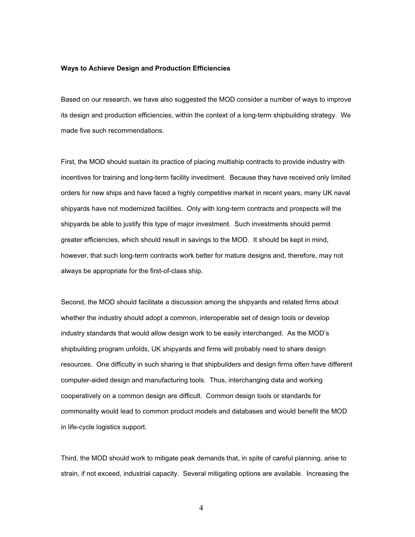### **Ways to Achieve Design and Production Efficiencies**

Based on our research, we have also suggested the MOD consider a number of ways to improve its design and production efficiencies, within the context of a long-term shipbuilding strategy. We made five such recommendations.

First, the MOD should sustain its practice of placing multiship contracts to provide industry with incentives for training and long-term facility investment. Because they have received only limited orders for new ships and have faced a highly competitive market in recent years, many UK naval shipyards have not modernized facilities. Only with long-term contracts and prospects will the shipyards be able to justify this type of major investment. Such investments should permit greater efficiencies, which should result in savings to the MOD. It should be kept in mind, however, that such long-term contracts work better for mature designs and, therefore, may not always be appropriate for the first-of-class ship.

Second, the MOD should facilitate a discussion among the shipyards and related firms about whether the industry should adopt a common, interoperable set of design tools or develop industry standards that would allow design work to be easily interchanged. As the MOD's shipbuilding program unfolds, UK shipyards and firms will probably need to share design resources. One difficulty in such sharing is that shipbuilders and design firms often have different computer-aided design and manufacturing tools. Thus, interchanging data and working cooperatively on a common design are difficult. Common design tools or standards for commonality would lead to common product models and databases and would benefit the MOD in life-cycle logistics support.

Third, the MOD should work to mitigate peak demands that, in spite of careful planning, arise to strain, if not exceed, industrial capacity. Several mitigating options are available. Increasing the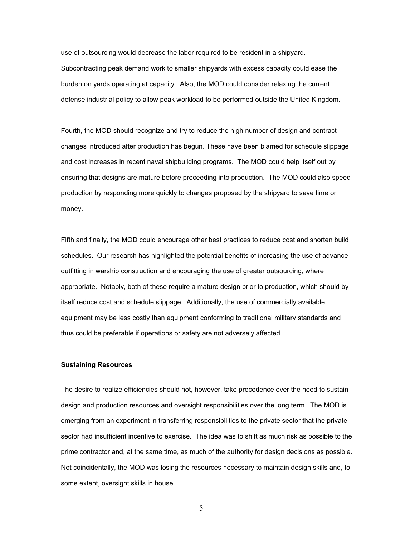use of outsourcing would decrease the labor required to be resident in a shipyard. Subcontracting peak demand work to smaller shipyards with excess capacity could ease the burden on yards operating at capacity. Also, the MOD could consider relaxing the current defense industrial policy to allow peak workload to be performed outside the United Kingdom.

Fourth, the MOD should recognize and try to reduce the high number of design and contract changes introduced after production has begun. These have been blamed for schedule slippage and cost increases in recent naval shipbuilding programs. The MOD could help itself out by ensuring that designs are mature before proceeding into production. The MOD could also speed production by responding more quickly to changes proposed by the shipyard to save time or money.

Fifth and finally, the MOD could encourage other best practices to reduce cost and shorten build schedules. Our research has highlighted the potential benefits of increasing the use of advance outfitting in warship construction and encouraging the use of greater outsourcing, where appropriate. Notably, both of these require a mature design prior to production, which should by itself reduce cost and schedule slippage. Additionally, the use of commercially available equipment may be less costly than equipment conforming to traditional military standards and thus could be preferable if operations or safety are not adversely affected.

## **Sustaining Resources**

The desire to realize efficiencies should not, however, take precedence over the need to sustain design and production resources and oversight responsibilities over the long term. The MOD is emerging from an experiment in transferring responsibilities to the private sector that the private sector had insufficient incentive to exercise. The idea was to shift as much risk as possible to the prime contractor and, at the same time, as much of the authority for design decisions as possible. Not coincidentally, the MOD was losing the resources necessary to maintain design skills and, to some extent, oversight skills in house.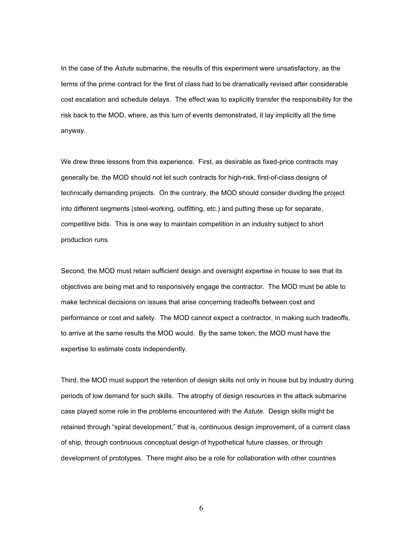In the case of the *Astute* submarine, the results of this experiment were unsatisfactory, as the terms of the prime contract for the first of class had to be dramatically revised after considerable cost escalation and schedule delays. The effect was to explicitly transfer the responsibility for the risk back to the MOD, where, as this turn of events demonstrated, it lay implicitly all the time anyway.

We drew three lessons from this experience. First, as desirable as fixed-price contracts may generally be, the MOD should not let such contracts for high-risk, first-of-class designs of technically demanding projects. On the contrary, the MOD should consider dividing the project into different segments (steel-working, outfitting, etc.) and putting these up for separate, competitive bids. This is one way to maintain competition in an industry subject to short production runs.

Second, the MOD must retain sufficient design and oversight expertise in house to see that its objectives are being met and to responsively engage the contractor. The MOD must be able to make technical decisions on issues that arise concerning tradeoffs between cost and performance or cost and safety. The MOD cannot expect a contractor, in making such tradeoffs, to arrive at the same results the MOD would. By the same token, the MOD must have the expertise to estimate costs independently.

Third, the MOD must support the retention of design skills not only in house but by industry during periods of low demand for such skills. The atrophy of design resources in the attack submarine case played some role in the problems encountered with the *Astute.* Design skills might be retained through "spiral development," that is, continuous design improvement, of a current class of ship, through continuous conceptual design of hypothetical future classes, or through development of prototypes. There might also be a role for collaboration with other countries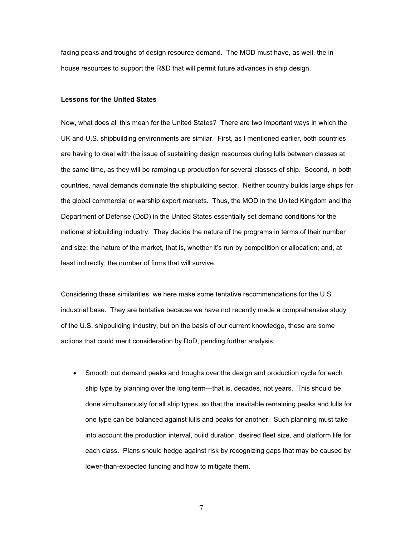facing peaks and troughs of design resource demand. The MOD must have, as well, the inhouse resources to support the R&D that will permit future advances in ship design.

## **Lessons for the United States**

Now, what does all this mean for the United States? There are two important ways in which the UK and U.S. shipbuilding environments are similar. First, as I mentioned earlier, both countries are having to deal with the issue of sustaining design resources during lulls between classes at the same time, as they will be ramping up production for several classes of ship. Second, in both countries, naval demands dominate the shipbuilding sector. Neither country builds large ships for the global commercial or warship export markets. Thus, the MOD in the United Kingdom and the Department of Defense (DoD) in the United States essentially set demand conditions for the national shipbuilding industry: They decide the nature of the programs in terms of their number and size; the nature of the market, that is, whether it's run by competition or allocation; and, at least indirectly, the number of firms that will survive.

Considering these similarities, we here make some tentative recommendations for the U.S. industrial base. They are tentative because we have not recently made a comprehensive study of the U.S. shipbuilding industry, but on the basis of our current knowledge, these are some actions that could merit consideration by DoD, pending further analysis:

• Smooth out demand peaks and troughs over the design and production cycle for each ship type by planning over the long term—that is, decades, not years. This should be done simultaneously for all ship types, so that the inevitable remaining peaks and lulls for one type can be balanced against lulls and peaks for another. Such planning must take into account the production interval, build duration, desired fleet size, and platform life for each class. Plans should hedge against risk by recognizing gaps that may be caused by lower-than-expected funding and how to mitigate them.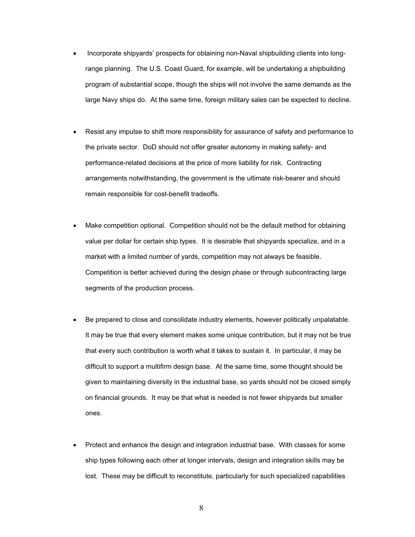- Incorporate shipyards' prospects for obtaining non-Naval shipbuilding clients into longrange planning. The U.S. Coast Guard, for example, will be undertaking a shipbuilding program of substantial scope, though the ships will not involve the same demands as the large Navy ships do. At the same time, foreign military sales can be expected to decline.
- x Resist any impulse to shift more responsibility for assurance of safety and performance to the private sector. DoD should not offer greater autonomy in making safety- and performance-related decisions at the price of more liability for risk. Contracting arrangements notwithstanding, the government is the ultimate risk-bearer and should remain responsible for cost-benefit tradeoffs.
- Make competition optional. Competition should not be the default method for obtaining value per dollar for certain ship types. It is desirable that shipyards specialize, and in a market with a limited number of yards, competition may not always be feasible. Competition is better achieved during the design phase or through subcontracting large segments of the production process.
- Be prepared to close and consolidate industry elements, however politically unpalatable. It may be true that every element makes some unique contribution, but it may not be true that every such contribution is worth what it takes to sustain it. In particular, it may be difficult to support a multifirm design base. At the same time, some thought should be given to maintaining diversity in the industrial base, so yards should not be closed simply on financial grounds. It may be that what is needed is not fewer shipyards but smaller ones.
- Protect and enhance the design and integration industrial base. With classes for some ship types following each other at longer intervals, design and integration skills may be lost. These may be difficult to reconstitute, particularly for such specialized capabilities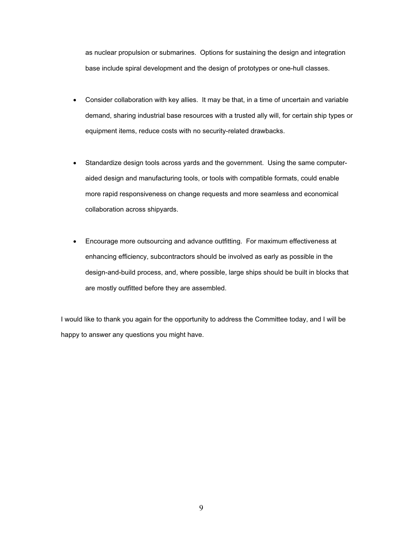as nuclear propulsion or submarines. Options for sustaining the design and integration base include spiral development and the design of prototypes or one-hull classes.

- Consider collaboration with key allies. It may be that, in a time of uncertain and variable demand, sharing industrial base resources with a trusted ally will, for certain ship types or equipment items, reduce costs with no security-related drawbacks.
- Standardize design tools across yards and the government. Using the same computeraided design and manufacturing tools, or tools with compatible formats, could enable more rapid responsiveness on change requests and more seamless and economical collaboration across shipyards.
- Encourage more outsourcing and advance outfitting. For maximum effectiveness at enhancing efficiency, subcontractors should be involved as early as possible in the design-and-build process, and, where possible, large ships should be built in blocks that are mostly outfitted before they are assembled.

I would like to thank you again for the opportunity to address the Committee today, and I will be happy to answer any questions you might have.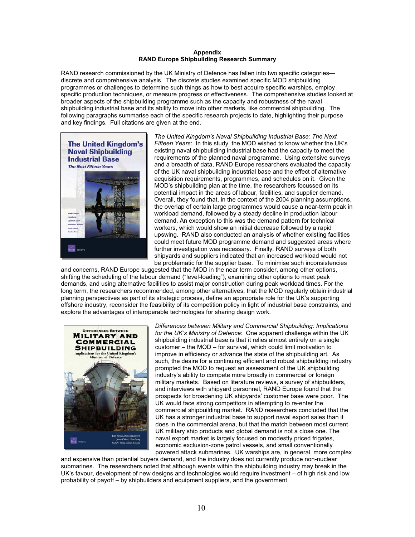#### **Appendix RAND Europe Shipbuilding Research Summary**

RAND research commissioned by the UK Ministry of Defence has fallen into two specific categories discrete and comprehensive analysis. The discrete studies examined specific MOD shipbuilding programmes or challenges to determine such things as how to best acquire specific warships, employ specific production techniques, or measure progress or effectiveness. The comprehensive studies looked at broader aspects of the shipbuilding programme such as the capacity and robustness of the naval shipbuilding industrial base and its ability to move into other markets, like commercial shipbuilding. The following paragraphs summarise each of the specific research projects to date, highlighting their purpose and key findings. Full citations are given at the end.



*The United Kingdom's Naval Shipbuilding Industrial Base: The Next Fifteen Years*: In this study, the MOD wished to know whether the UK's existing naval shipbuilding industrial base had the capacity to meet the requirements of the planned naval programme. Using extensive surveys and a breadth of data, RAND Europe researchers evaluated the capacity of the UK naval shipbuilding industrial base and the effect of alternative acquisition requirements, programmes, and schedules on it. Given the MOD's shipbuilding plan at the time, the researchers focussed on its potential impact in the areas of labour, facilities, and supplier demand. Overall, they found that, in the context of the 2004 planning assumptions, the overlap of certain large programmes would cause a near-term peak in workload demand, followed by a steady decline in production labour demand. An exception to this was the demand pattern for technical workers, which would show an initial decrease followed by a rapid upswing. RAND also conducted an analysis of whether existing facilities could meet future MOD programme demand and suggested areas where further investigation was necessary. Finally, RAND surveys of both shipyards and suppliers indicated that an increased workload would not be problematic for the supplier base. To minimise such inconsistencies

and concerns, RAND Europe suggested that the MOD in the near term consider, among other options, shifting the scheduling of the labour demand ("level-loading"), examining other options to meet peak demands, and using alternative facilities to assist major construction during peak workload times. For the long term, the researchers recommended, among other alternatives, that the MOD regularly obtain industrial planning perspectives as part of its strategic process, define an appropriate role for the UK's supporting offshore industry, reconsider the feasibility of its competition policy in light of industrial base constraints, and explore the advantages of interoperable technologies for sharing design work.



*Differences between Military and Commercial Shipbuilding: Implications for the UK's Ministry of Defence*: One apparent challenge within the UK shipbuilding industrial base is that it relies almost entirely on a single customer – the MOD – for survival, which could limit motivation to improve in efficiency or advance the state of the shipbuilding art. As such, the desire for a continuing efficient and robust shipbuilding industry prompted the MOD to request an assessment of the UK shipbuilding industry's ability to compete more broadly in commercial or foreign military markets. Based on literature reviews, a survey of shipbuilders, and interviews with shipyard personnel, RAND Europe found that the prospects for broadening UK shipyards' customer base were poor. The UK would face strong competitors in attempting to re-enter the commercial shipbuilding market. RAND researchers concluded that the UK has a stronger industrial base to support naval export sales than it does in the commercial arena, but that the match between most current UK military ship products and global demand is not a close one. The naval export market is largely focused on modestly priced frigates, economic exclusion-zone patrol vessels, and small conventionally powered attack submarines. UK warships are, in general, more complex

and expensive than potential buyers demand, and the industry does not currently produce non-nuclear submarines. The researchers noted that although events within the shipbuilding industry may break in the UK's favour, development of new designs and technologies would require investment – of high risk and low probability of payoff – by shipbuilders and equipment suppliers, and the government.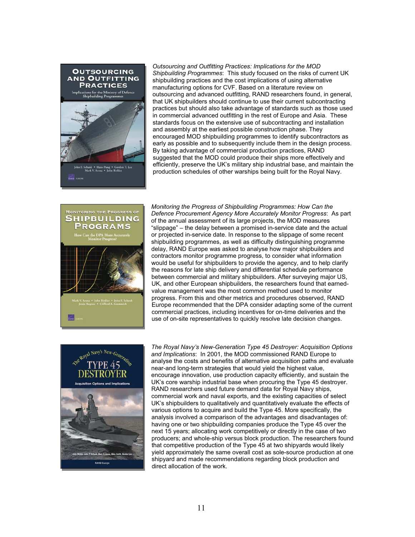

*Outsourcing and Outfitting Practices: Implications for the MOD Shipbuilding Programmes*: This study focused on the risks of current UK shipbuilding practices and the cost implications of using alternative manufacturing options for CVF. Based on a literature review on outsourcing and advanced outfitting, RAND researchers found, in general, that UK shipbuilders should continue to use their current subcontracting practices but should also take advantage of standards such as those used in commercial advanced outfitting in the rest of Europe and Asia. These standards focus on the extensive use of subcontracting and installation and assembly at the earliest possible construction phase. They encouraged MOD shipbuilding programmes to identify subcontractors as early as possible and to subsequently include them in the design process. By taking advantage of commercial production practices, RAND suggested that the MOD could produce their ships more effectively and efficiently, preserve the UK's military ship industrial base, and maintain the production schedules of other warships being built for the Royal Navy.



*Monitoring the Progress of Shipbuilding Programmes: How Can the Defence Procurement Agency More Accurately Monitor Progress*: As part of the annual assessment of its large projects, the MOD measures "slippage" – the delay between a promised in-service date and the actual or projected in-service date. In response to the slippage of some recent shipbuilding programmes, as well as difficulty distinguishing programme delay, RAND Europe was asked to analyse how major shipbuilders and contractors monitor programme progress, to consider what information would be useful for shipbuilders to provide the agency, and to help clarify the reasons for late ship delivery and differential schedule performance between commercial and military shipbuilders. After surveying major US, UK, and other European shipbuilders, the researchers found that earnedvalue management was the most common method used to monitor progress. From this and other metrics and procedures observed, RAND Europe recommended that the DPA consider adapting some of the current commercial practices, including incentives for on-time deliveries and the use of on-site representatives to quickly resolve late decision changes.



*The Royal Navy's New-Generation Type 45 Destroyer: Acquisition Options and Implications*: In 2001, the MOD commissioned RAND Europe to analyse the costs and benefits of alternative acquisition paths and evaluate near-and long-term strategies that would yield the highest value, encourage innovation, use production capacity efficiently, and sustain the UK's core warship industrial base when procuring the Type 45 destroyer. RAND researchers used future demand data for Royal Navy ships, commercial work and naval exports, and the existing capacities of select UK's shipbuilders to qualitatively and quantitatively evaluate the effects of various options to acquire and build the Type 45. More specifically, the analysis involved a comparison of the advantages and disadvantages of: having one or two shipbuilding companies produce the Type 45 over the next 15 years; allocating work competitively or directly in the case of two producers; and whole-ship versus block production. The researchers found that competitive production of the Type 45 at two shipyards would likely yield approximately the same overall cost as sole-source production at one shipyard and made recommendations regarding block production and direct allocation of the work.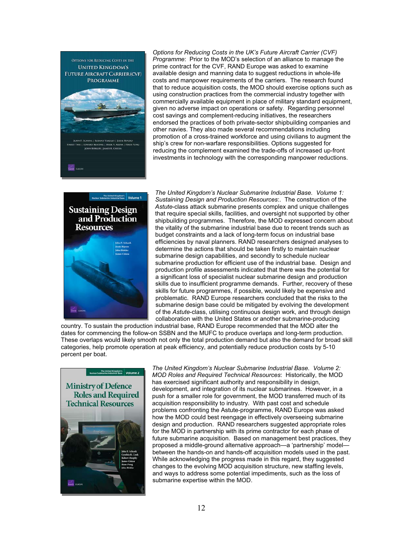

*Options for Reducing Costs in the UK's Future Aircraft Carrier (CVF) Programme*: Prior to the MOD's selection of an alliance to manage the prime contract for the CVF, RAND Europe was asked to examine available design and manning data to suggest reductions in whole-life costs and manpower requirements of the carriers. The research found that to reduce acquisition costs, the MOD should exercise options such as using construction practices from the commercial industry together with commercially available equipment in place of military standard equipment, given no adverse impact on operations or safety. Regarding personnel cost savings and complement-reducing initiatives, the researchers endorsed the practices of both private-sector shipbuilding companies and other navies. They also made several recommendations including promotion of a cross-trained workforce and using civilians to augment the ship's crew for non-warfare responsibilities. Options suggested for reducing the complement examined the trade-offs of increased up-front investments in technology with the corresponding manpower reductions.



*The United Kingdom's Nuclear Submarine Industrial Base. Volume 1: Sustaining Design and Production Resources*:. The construction of the *Astute*-class attack submarine presents complex and unique challenges that require special skills, facilities, and oversight not supported by other shipbuilding programmes. Therefore, the MOD expressed concern about the vitality of the submarine industrial base due to recent trends such as budget constraints and a lack of long-term focus on industrial base efficiencies by naval planners. RAND researchers designed analyses to determine the actions that should be taken firstly to maintain nuclear submarine design capabilities, and secondly to schedule nuclear submarine production for efficient use of the industrial base. Design and production profile assessments indicated that there was the potential for a significant loss of specialist nuclear submarine design and production skills due to insufficient programme demands. Further, recovery of these skills for future programmes, if possible, would likely be expensive and problematic. RAND Europe researchers concluded that the risks to the submarine design base could be mitigated by evolving the development of the *Astute*-class, utilising continuous design work, and through design collaboration with the United States or another submarine-producing

country. To sustain the production industrial base, RAND Europe recommended that the MOD alter the dates for commencing the follow-on SSBN and the MUFC to produce overlaps and long-term production. These overlaps would likely smooth not only the total production demand but also the demand for broad skill categories, help promote operation at peak efficiency, and potentially reduce production costs by 5-10 percent per boat.



*The United Kingdom's Nuclear Submarine Industrial Base. Volume 2: MOD Roles and Required Technical Resources*: Historically, the MOD has exercised significant authority and responsibility in design, development, and integration of its nuclear submarines. However, in a push for a smaller role for government, the MOD transferred much of its acquisition responsibility to industry. With past cost and schedule problems confronting the Astute-programme, RAND Europe was asked how the MOD could best reengage in effectively overseeing submarine design and production. RAND researchers suggested appropriate roles for the MOD in partnership with its prime contractor for each phase of future submarine acquisition. Based on management best practices, they proposed a middle-ground alternative approach—a 'partnership' model between the hands-on and hands-off acquisition models used in the past. While acknowledging the progress made in this regard, they suggested changes to the evolving MOD acquisition structure, new staffing levels, and ways to address some potential impediments, such as the loss of submarine expertise within the MOD.